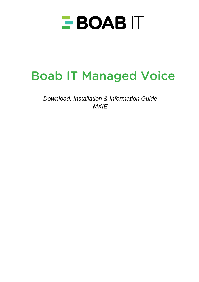

# **Boab IT Managed Voice**

*Download, Installation & Information Guide MXIE*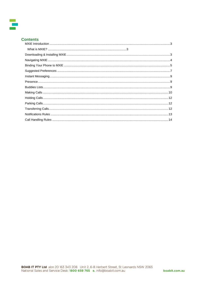# **Contents**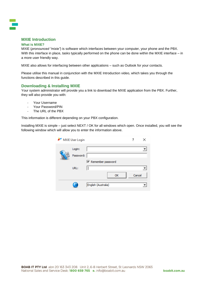

# <span id="page-2-0"></span>**MXIE Introduction**

#### <span id="page-2-1"></span>**What is MXIE?**

MXIE (*pronounced "mixie"*) is software which interfaces between your computer, your phone and the PBX. With this interface in place, tasks typically performed on the phone can be done within the MXIE interface – in a more user friendly way.

MXIE also allows for interfacing between other applications – such as Outlook for your contacts.

Please utilise this manual in conjunction with the MXIE Introduction video, which takes you through the functions described in this guide.

## <span id="page-2-2"></span>**Downloading & Installing MXIE**

Your system administrator will provide you a link to download the MXIE application from the PBX. Further, they will also provide you with:

- Your Username
- Your Password/PIN
- The URL of the PBX

This information is different depending on your PBX configuration.

Installing MXIE is simple – just select NEXT / OK for all windows which open. Once installed, you will see the following window which will allow you to enter the information above.

| MXIE User Login |                     |                            |        |  |
|-----------------|---------------------|----------------------------|--------|--|
|                 | Login:<br>Password: | $\nabla$ Remember password |        |  |
|                 | URL:                | OK                         | Cancel |  |
|                 |                     | English (Australia)        |        |  |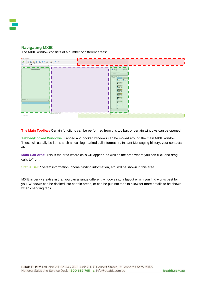# <span id="page-3-0"></span>**Navigating MXIE**

The MXIE window consists of a number of different areas:



**The Main Toolbar:** Certain functions can be performed from this toolbar, or certain windows can be opened.

**Tabbed/Docked Windows:** Tabbed and docked windows can be moved around the main MXIE window. These will usually be items such as call log, parked call information, Instant Messaging history, your contacts, etc.

**Main Call Area:** This is the area where calls will appear, as well as the area where you can click and drag calls to/from.

**Status Bar:** System information, phone binding information, etc. will be shown in this area.

MXIE is very versatile in that you can arrange different windows into a layout which you find works best for you. Windows can be docked into certain areas, or can be put into tabs to allow for more details to be shown when changing tabs.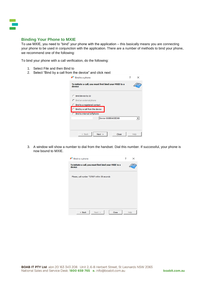

## <span id="page-4-0"></span>**Binding Your Phone to MXIE**

To use MXIE, you need to "bind" your phone with the application – this basically means you are connecting your phone to be used in conjunction with the application. There are a number of methods to bind your phone, we recommend one of the following:

To bind your phone with a call verification, do the following:

- 1. Select File and then Bind to
- 2. Select "Bind by a call from the device" and click next

| Bind to a phone                                                                                                                                                        |      |
|------------------------------------------------------------------------------------------------------------------------------------------------------------------------|------|
| To initiate a call, you must first bind your MXIE to a<br>device                                                                                                       |      |
| <b>C</b> Bind device by ID<br>$\cap$ Bind an external phone<br>C Bind to a registered contact<br>Bind by a call from the device<br><b>C</b> Bind to internal Softphone |      |
| Device 000BEA83ED88                                                                                                                                                    |      |
| Close<br>Next ><br>$<$ Back                                                                                                                                            | Help |

3. A window will show a number to dial from the handset. Dial this number. If successful, your phone is now bound to MXIE.

| Bind to a phone                                                  | ? | ×    |
|------------------------------------------------------------------|---|------|
| To initiate a call, you must first bind your MXIE to a<br>device |   |      |
| Please, call number *27007 within 58 seconds                     |   |      |
|                                                                  |   |      |
|                                                                  |   |      |
|                                                                  |   |      |
| Close<br>Next ><br>$<$ Back                                      |   | Help |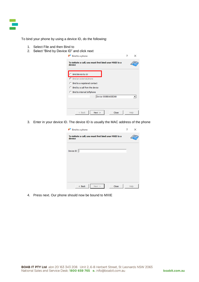To bind your phone by using a device ID, do the following:

- 1. Select File and then Bind to
- 2. Select "Bind by Device ID" and click next

| Bind to a phone                                                                                                                                                               | $\times$ |
|-------------------------------------------------------------------------------------------------------------------------------------------------------------------------------|----------|
| To initiate a call, you must first bind your MXIE to a<br>device                                                                                                              |          |
| Bind device by ID<br>$\cap$ Bind an external phone<br><b>C</b> Bind to a registered contact<br><b>C</b> Bind by a call from the device<br><b>C</b> Bind to internal Softphone |          |
| Device 000BEA83ED88                                                                                                                                                           |          |
| Close<br>Next ><br>$<$ Back                                                                                                                                                   | Help     |

3. Enter in your device ID. The device ID is usually the MAC address of the phone

| Bind to a phone                                                  | ? |      |
|------------------------------------------------------------------|---|------|
| To initiate a call, you must first bind your MXIE to a<br>device |   |      |
| Device ID                                                        |   |      |
|                                                                  |   |      |
|                                                                  |   |      |
|                                                                  |   |      |
| Close<br>$<$ Back<br>Next >                                      |   | Help |

4. Press next. Our phone should now be bound to MXIE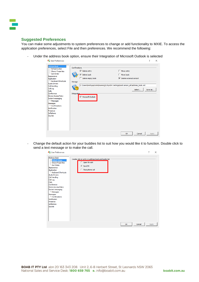

## <span id="page-6-0"></span>**Suggested Preferences**

You can make some adjustments to system preferences to change or add functionality to MXIE. To access the application preferences, select File and then preferences. We recommend the following:

- Under the address book option, ensure their Integration of Microsoft Outlook is selected

| User Preferences                                                                                                                                                                                          |                                                                                                                |                                                                                            | ?       | × |
|-----------------------------------------------------------------------------------------------------------------------------------------------------------------------------------------------------------|----------------------------------------------------------------------------------------------------------------|--------------------------------------------------------------------------------------------|---------|---|
| <b>Address Book</b><br>- Default Action<br>Shown Properties<br>Sort Order<br>Appearance<br>Application<br>Keyboard Shortcuts<br><b>Audio Drivers</b>                                                      | Confirmations<br>$\overline{\vee}$ Delete entry<br>$\nabla$ Delete book<br>$\Box$ Delete empty book<br>Storage | $\Box$ Move entry<br>$\Box$ Move book<br>$\nabla$ Delete external contact                  |         |   |
| Call Handling<br>Call Log<br>Calls<br>Conference<br><b>Device Access Policy</b><br>Instant messaging<br><b>Messages</b><br>Messages<br>- Confirmations<br>Notification<br>Presence<br>Softphone<br>Sounds | Integration<br>Microsoft Outlook                                                                               | C:\Users\Matt\AppData\Roaming\Zultys\MX Settings\matt.ianson_ab\address_book.xml<br>Select | Save as |   |
|                                                                                                                                                                                                           |                                                                                                                | OK<br>Cancel                                                                               | Apply   |   |

Change the default action for your buddies list to suit how you would like it to function. Double click to send a text message or to make the call.

| <b>And User Preferences</b>                                                                                                                                                                                                                                                                                                               |                                                                                                            | ?     | $\times$ |
|-------------------------------------------------------------------------------------------------------------------------------------------------------------------------------------------------------------------------------------------------------------------------------------------------------------------------------------------|------------------------------------------------------------------------------------------------------------|-------|----------|
| <b>Address Book</b><br>Default Action<br>Shown Properties<br>Sort Order<br>Appearance<br>Application<br>Keyboard Shortcuts<br>Audio Drivers<br>Call Handling<br>Call Log<br>Calls<br>Conference<br>Device Access Policy<br>Instant messaging<br>Messages<br>Messages<br>-Confirmations<br>Notification<br>Presence<br>Softphone<br>Sounds | Double click on entry in address book and buddy list<br>C Open for edit<br>G Send IM<br>C Place phone call |       |          |
|                                                                                                                                                                                                                                                                                                                                           | OK<br>Cancel                                                                                               | Apply |          |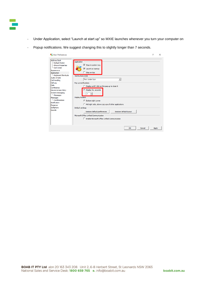

- Under Application, select "Launch at start up" so MXIE launches whenever you turn your computer on
- Popup notifications. We suggest changing this to slightly longer than 7 seconds.

| User Preferences                                                                                                                                                                                                                                                                                                                                            |                                                                                                                                                                                                                                                                                                                                                                                                                                                                                                                                                                                 | 7     | $\times$ |
|-------------------------------------------------------------------------------------------------------------------------------------------------------------------------------------------------------------------------------------------------------------------------------------------------------------------------------------------------------------|---------------------------------------------------------------------------------------------------------------------------------------------------------------------------------------------------------------------------------------------------------------------------------------------------------------------------------------------------------------------------------------------------------------------------------------------------------------------------------------------------------------------------------------------------------------------------------|-------|----------|
| <b>Address Book</b><br>- Default Action<br>Shown Properties<br>Sort Order<br>Appearance<br>Application<br><b>E-Keyboard Shortcuts</b><br>Audio Drivers<br>Call Handling<br>Call Log<br><b>Calls</b><br>Conference<br>Device Access Policy<br>Instant messaging<br>Messages<br>Messages<br>-Confirmations<br>Notification<br>Presence<br>Softphone<br>Sounds | Application<br>$\overline{\triangledown}$ Stay in system tray<br>$\overline{V}$ Launch at startup<br>$\Box$ Stay on top<br>Tool buttons style<br>Text Under Icon<br>Pop up notifications<br>C Display until I click on the pop up to close it<br>C Display for, seconds<br>÷<br>7<br><b>Display location</b><br><b>6</b> Bottom right corner<br>C Mid right side, above pop ups of other applications<br>Default settings<br>Restore default lavout<br>Restore default preferences<br>Microsoft Office Unified Communication<br>F Enable Microsoft Office Unified Communication |       |          |
|                                                                                                                                                                                                                                                                                                                                                             | OK<br>Cancel                                                                                                                                                                                                                                                                                                                                                                                                                                                                                                                                                                    | Apply |          |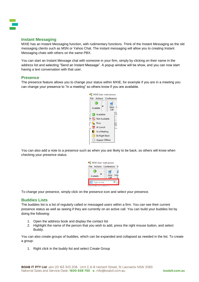## <span id="page-8-0"></span>**Instant Messaging**

MXIE has an Instant Messaging function, with rudimentary functions. Think of the Instant Messaging as the old messaging clients such as MSN or Yahoo Chat. The instant messaging will allow you to creating Instant Messaging chats with others on the same PBX.

You can start an Instant Message chat with someone in your firm, simply by clicking on their name in the address list and selecting "Send an Instant Message". A popup window will be show, and you can now start having a text conversation with that user.

### <span id="page-8-1"></span>**Presence**

The presence feature allows you to change your status within MXIE, for example if you are in a meeting you can change your presence to "In a meeting" so others know if you are available.



You can also add a note to a presence such as when you are likely to be back, so others will know when checking your presence status.



To change your presence, simply click on the presence icon and select your presence.

## <span id="page-8-2"></span>**Buddies Lists**

The buddies list is a list of regularly called or messaged users within a firm. You can see their current presence status as well as seeing if they are currently on an active call. You can build your buddies list by doing the following:

- 1. Open the address book and display the contact list
- 2. Highlight the name of the person that you wish to add, press the right mouse button, and select Buddy.

You can also create groups of buddies, which can be expanded and collapsed as needed in the list. To create a group:

1. Right click in the buddy list and select Create Group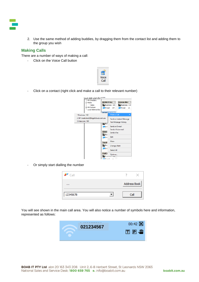

2. Use the same method of adding buddies, by dragging them from the contact list and adding them to the group you wish

## <span id="page-9-0"></span>**Making Calls**

There are a number of ways of making a call:

- Click on the Voice Call button



Click on a contact (right click and make a call to their relevant number)



Or simply start dialling the number

| $\mathbb{R}^{\bullet}$ Call |  |              |
|-----------------------------|--|--------------|
|                             |  | Address Book |
| 12345678                    |  | Эl           |

You will see shown in the main call area. You will also notice a number of symbols here and information, represented as follows:

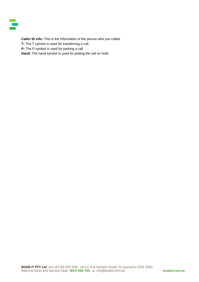**Caller ID info:** This is the information of the person who you called **T:** The T symbol is used for transferring a call **P:** The P symbol is used for parking a call **Hand:** The hand symbol is used for putting the call on hold.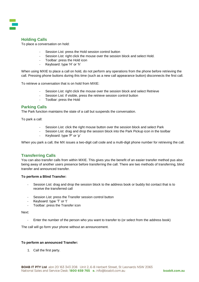# <span id="page-11-0"></span>**Holding Calls**

To place a conversation on hold:

- Session List: press the Hold session control button
- Session List: right click the mouse over the session block and select Hold.
- Toolbar: press the Hold icon
- Keyboard: type 'H' or 'h'

When using MXIE to place a call on hold, do not perform any operations from the phone before retrieving the call. Pressing phone buttons during this time (such as a new call appearance button) disconnects the first call.

To retrieve a conversation that is on hold from MXIE:

- Session List: right click the mouse over the session block and select Retrieve
- Session List: if visible, press the retrieve session control button
- Toolbar: press the Hold

## <span id="page-11-1"></span>**Parking Calls**

The Park function maintains the state of a call but suspends the conversation.

To park a call:

- Session List: click the right mouse button over the session block and select Park
- Session List: drag and drop the session block into the Park Pickup icon in the toolbar
- Keyboard: type 'P' or 'p'

When you park a call, the MX issues a two-digit call code and a multi-digit phone number for retrieving the call.

## <span id="page-11-2"></span>**Transferring Calls**

You can also transfer calls from within MXIE. This gives you the benefit of an easier transfer method pus also being away of another users presence before transferring the call. There are two methods of transferring, blind transfer and announced transfer.

#### **To perform a Blind Transfer:**

- Session List: drag and drop the session block to the address book or buddy list contact that is to receive the transferred call
- Session List: press the Transfer session control button
- Keyboard: type 'T' or 't'
- Toolbar: press the Transfer icon

#### Next:

Enter the number of the person who you want to transfer to (or select from the address book)

The call will go form your phone without an announcement.

#### **To perform an announced Transfer:**

1. Call the first party.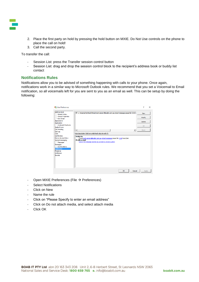

- 2. Place the first party on hold by pressing the hold button on MXIE. Do Not Use controls on the phone to place the call on hold!
- 3. Call the second party.

To transfer the call:

- Session List: press the Transfer session control button
- Session List: drag and drop the session control block to the recipient's address book or buddy list contact

### <span id="page-12-0"></span>**Notifications Rules**

Notifications allow you to be advised of something happening with calls to your phone. Once again, notifications work in a similar way to Microsoft Outlook rules. We recommend that you set a Voicemail to Email notification, so all voicemails left for you are sent to you as an email as well. This can be setup by doing the following:

| User Preferences                                                                                                                                                                |                                                                                                                                                                                                                                          | 7                              | $\times$ |
|---------------------------------------------------------------------------------------------------------------------------------------------------------------------------------|------------------------------------------------------------------------------------------------------------------------------------------------------------------------------------------------------------------------------------------|--------------------------------|----------|
| <b>Address Book</b><br>-Default Action<br>Shown Properties<br>Sort Order<br>Appearance<br>Application                                                                           | ■ 1. Voicemail to Email (E-mail matt.ianson@boabit.com.au attach message pause for 0:00 h                                                                                                                                                | <b>New</b><br>Modify<br>Delete |          |
| Keyboard Shortcuts<br><b>Audio Drivers</b><br>Call Handling                                                                                                                     | $\blacktriangleleft$<br>$\ddot{\phantom{1}}$                                                                                                                                                                                             | Up<br><b>Down</b>              |          |
| Call Log<br>Calls<br>Conference<br>Device Access Policy<br>Instant messaging<br><b>Messages</b><br>Messages<br>Confirmations<br>Notification<br>Presence<br>Softphone<br>Sounds | Rule description (click on underlined value to edit it):<br><b>Notify Me</b><br>E-mail matt.ianson@boabit.com.au attach message pause for 0:00 hours/min<br><b>If still unread</b><br>Leave the message marked as unread on phone system |                                |          |
|                                                                                                                                                                                 | OK<br>Cancel                                                                                                                                                                                                                             | Apply                          |          |

- Open MXIE Preferences (File  $\rightarrow$  Preferences)
- Select Notifications
- Click on New
- Name the rule
- Click on "Please Specify to enter an email address"
- Click on Do not attach media, and select attach media
- Click OK